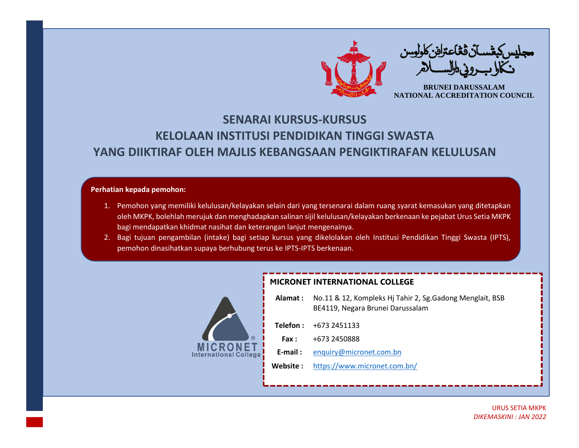

## **SENARAI KURSUS-KURSUS KELOLAAN INSTITUSI PENDIDIKAN TINGGI SWASTA YANG DIIKTIRAF OLEH MAJLIS KEBANGSAAN PENGIKTIRAFAN KELULUSAN**

## **Perhatian kepada pemohon:**

- 1. Pemohon yang memiliki kelulusan/kelayakan selain dari yang tersenarai dalam ruang syarat kemasukan yang ditetapkan oleh MKPK, bolehlah merujuk dan menghadapkan salinan sijil kelulusan/kelayakan berkenaan ke pejabat Urus Setia MKPK bagi mendapatkan khidmat nasihat dan keterangan lanjut mengenainya.
- 2. Bagi tujuan pengambilan (intake) bagi setiap kursus yang dikelolakan oleh Institusi Pendidikan Tinggi Swasta (IPTS), pemohon dinasihatkan supaya berhubung terus ke IPTS-IPTS berkenaan.



## **MICRONET INTERNATIONAL COLLEGE**

|              | Alamat: No.11 & 12, Kompleks Hj Tahir 2, Sg. Gadong Menglait, BSB<br>BE4119, Negara Brunei Darussalam |
|--------------|-------------------------------------------------------------------------------------------------------|
|              | <b>Telefon:</b> $+6732451133$                                                                         |
| <b>Fax :</b> | +673 2450888                                                                                          |
| E-mail :     | enquiry@micronet.com.bn                                                                               |
| Website :    | https://www.micronet.com.bn/                                                                          |
|              |                                                                                                       |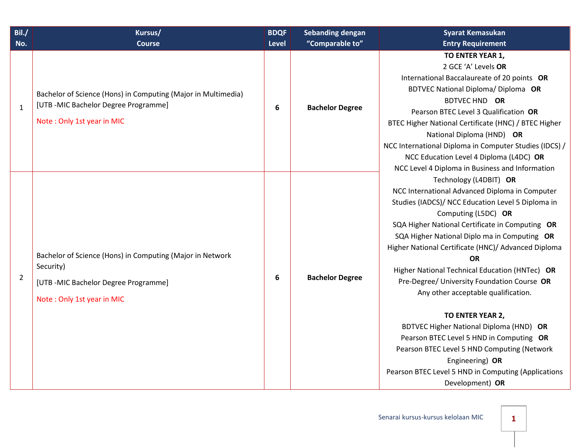| Bil./<br>No.   | Kursus/<br><b>Course</b>                                                                                                                    | <b>BDQF</b><br>Level | <b>Sebanding dengan</b><br>"Comparable to" | <b>Syarat Kemasukan</b><br><b>Entry Requirement</b>                                                                                                                                                                                                                                                                                                                                                                                                                                                                                                                                                                                                                                                                                                                           |
|----------------|---------------------------------------------------------------------------------------------------------------------------------------------|----------------------|--------------------------------------------|-------------------------------------------------------------------------------------------------------------------------------------------------------------------------------------------------------------------------------------------------------------------------------------------------------------------------------------------------------------------------------------------------------------------------------------------------------------------------------------------------------------------------------------------------------------------------------------------------------------------------------------------------------------------------------------------------------------------------------------------------------------------------------|
| $\mathbf{1}$   | Bachelor of Science (Hons) in Computing (Major in Multimedia)<br>[UTB-MIC Bachelor Degree Programme]<br>Note: Only 1st year in MIC          | 6                    | <b>Bachelor Degree</b>                     | TO ENTER YEAR 1,<br>2 GCE 'A' Levels OR<br>International Baccalaureate of 20 points OR<br><b>BDTVEC National Diploma/ Diploma OR</b><br>BDTVEC HND OR<br>Pearson BTEC Level 3 Qualification OR<br>BTEC Higher National Certificate (HNC) / BTEC Higher<br>National Diploma (HND) OR<br>NCC International Diploma in Computer Studies (IDCS) /<br>NCC Education Level 4 Diploma (L4DC) OR                                                                                                                                                                                                                                                                                                                                                                                      |
| $\overline{2}$ | Bachelor of Science (Hons) in Computing (Major in Network<br>Security)<br>[UTB-MIC Bachelor Degree Programme]<br>Note: Only 1st year in MIC | 6                    | <b>Bachelor Degree</b>                     | NCC Level 4 Diploma in Business and Information<br>Technology (L4DBIT) OR<br>NCC International Advanced Diploma in Computer<br>Studies (IADCS)/ NCC Education Level 5 Diploma in<br>Computing (L5DC) OR<br>SQA Higher National Certificate in Computing OR<br>SQA Higher National Diplo ma in Computing OR<br>Higher National Certificate (HNC)/ Advanced Diploma<br><b>OR</b><br>Higher National Technical Education (HNTec) OR<br>Pre-Degree/ University Foundation Course OR<br>Any other acceptable qualification.<br>TO ENTER YEAR 2,<br>BDTVEC Higher National Diploma (HND) OR<br>Pearson BTEC Level 5 HND in Computing OR<br>Pearson BTEC Level 5 HND Computing (Network<br>Engineering) OR<br>Pearson BTEC Level 5 HND in Computing (Applications<br>Development) OR |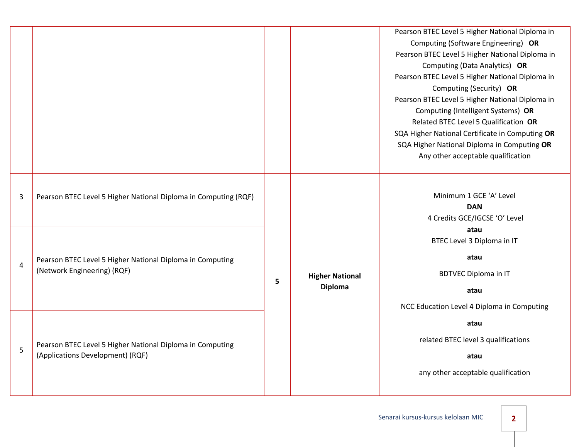|                |                                                                                               |   |  | Pearson BTEC Level 5 Higher National Diploma in<br>Computing (Software Engineering) OR<br>Pearson BTEC Level 5 Higher National Diploma in<br>Computing (Data Analytics) OR<br>Pearson BTEC Level 5 Higher National Diploma in<br>Computing (Security) OR<br>Pearson BTEC Level 5 Higher National Diploma in<br>Computing (Intelligent Systems) OR<br>Related BTEC Level 5 Qualification OR<br>SQA Higher National Certificate in Computing OR<br>SQA Higher National Diploma in Computing OR<br>Any other acceptable qualification |                                          |                                                                                                                                 |
|----------------|-----------------------------------------------------------------------------------------------|---|--|------------------------------------------------------------------------------------------------------------------------------------------------------------------------------------------------------------------------------------------------------------------------------------------------------------------------------------------------------------------------------------------------------------------------------------------------------------------------------------------------------------------------------------|------------------------------------------|---------------------------------------------------------------------------------------------------------------------------------|
| 3              | Pearson BTEC Level 5 Higher National Diploma in Computing (RQF)                               | 5 |  | Minimum 1 GCE 'A' Level<br><b>DAN</b><br>4 Credits GCE/IGCSE 'O' Level                                                                                                                                                                                                                                                                                                                                                                                                                                                             |                                          |                                                                                                                                 |
| $\overline{4}$ | Pearson BTEC Level 5 Higher National Diploma in Computing<br>(Network Engineering) (RQF)      |   |  |                                                                                                                                                                                                                                                                                                                                                                                                                                                                                                                                    | <b>Higher National</b><br><b>Diploma</b> | atau<br>BTEC Level 3 Diploma in IT<br>atau<br><b>BDTVEC Diploma in IT</b><br>atau<br>NCC Education Level 4 Diploma in Computing |
| 5              | Pearson BTEC Level 5 Higher National Diploma in Computing<br>(Applications Development) (RQF) |   |  | atau<br>related BTEC level 3 qualifications<br>atau<br>any other acceptable qualification                                                                                                                                                                                                                                                                                                                                                                                                                                          |                                          |                                                                                                                                 |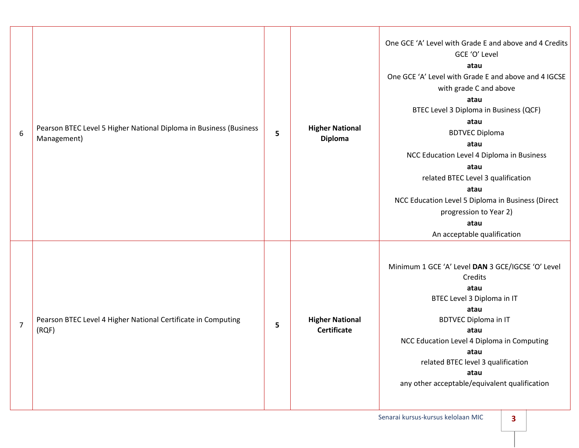| $\boldsymbol{6}$ | Pearson BTEC Level 5 Higher National Diploma in Business (Business<br>Management) | 5 | <b>Higher National</b><br><b>Diploma</b>     | One GCE 'A' Level with Grade E and above and 4 Credits<br>GCE 'O' Level<br>atau<br>One GCE 'A' Level with Grade E and above and 4 IGCSE<br>with grade C and above<br>atau<br>BTEC Level 3 Diploma in Business (QCF)<br>atau<br><b>BDTVEC Diploma</b><br>atau<br>NCC Education Level 4 Diploma in Business<br>atau<br>related BTEC Level 3 qualification<br>atau<br>NCC Education Level 5 Diploma in Business (Direct<br>progression to Year 2)<br>atau<br>An acceptable qualification |
|------------------|-----------------------------------------------------------------------------------|---|----------------------------------------------|---------------------------------------------------------------------------------------------------------------------------------------------------------------------------------------------------------------------------------------------------------------------------------------------------------------------------------------------------------------------------------------------------------------------------------------------------------------------------------------|
| $\overline{7}$   | Pearson BTEC Level 4 Higher National Certificate in Computing<br>(RQF)            | 5 | <b>Higher National</b><br><b>Certificate</b> | Minimum 1 GCE 'A' Level DAN 3 GCE/IGCSE 'O' Level<br>Credits<br>atau<br>BTEC Level 3 Diploma in IT<br>atau<br><b>BDTVEC Diploma in IT</b><br>atau<br>NCC Education Level 4 Diploma in Computing<br>atau<br>related BTEC level 3 qualification<br>atau<br>any other acceptable/equivalent qualification                                                                                                                                                                                |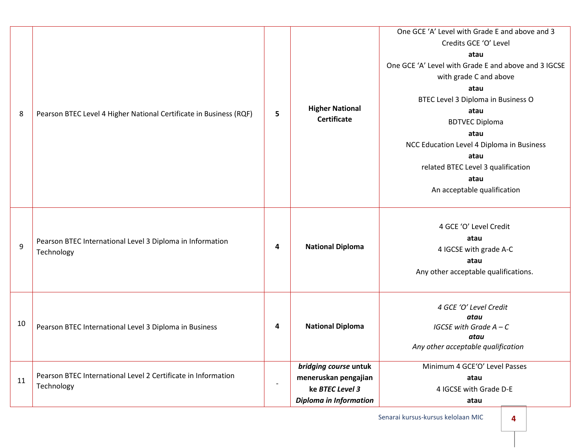| 8  | Pearson BTEC Level 4 Higher National Certificate in Business (RQF)          | 5                        | <b>Higher National</b><br><b>Certificate</b>                                                      | One GCE 'A' Level with Grade E and above and 3<br>Credits GCE 'O' Level<br>atau<br>One GCE 'A' Level with Grade E and above and 3 IGCSE<br>with grade C and above<br>atau<br>BTEC Level 3 Diploma in Business O<br>atau<br><b>BDTVEC Diploma</b><br>atau<br>NCC Education Level 4 Diploma in Business<br>atau<br>related BTEC Level 3 qualification<br>atau<br>An acceptable qualification |
|----|-----------------------------------------------------------------------------|--------------------------|---------------------------------------------------------------------------------------------------|--------------------------------------------------------------------------------------------------------------------------------------------------------------------------------------------------------------------------------------------------------------------------------------------------------------------------------------------------------------------------------------------|
| 9  | Pearson BTEC International Level 3 Diploma in Information<br>Technology     | 4                        | <b>National Diploma</b>                                                                           | 4 GCE 'O' Level Credit<br>atau<br>4 IGCSE with grade A-C<br>atau<br>Any other acceptable qualifications.                                                                                                                                                                                                                                                                                   |
| 10 | Pearson BTEC International Level 3 Diploma in Business                      | 4                        | <b>National Diploma</b>                                                                           | 4 GCE 'O' Level Credit<br>atau<br>IGCSE with Grade $A - C$<br>atau<br>Any other acceptable qualification                                                                                                                                                                                                                                                                                   |
| 11 | Pearson BTEC International Level 2 Certificate in Information<br>Technology | $\overline{\phantom{a}}$ | bridging course untuk<br>meneruskan pengajian<br>ke BTEC Level 3<br><b>Diploma in Information</b> | Minimum 4 GCE'O' Level Passes<br>atau<br>4 IGCSE with Grade D-E<br>atau                                                                                                                                                                                                                                                                                                                    |